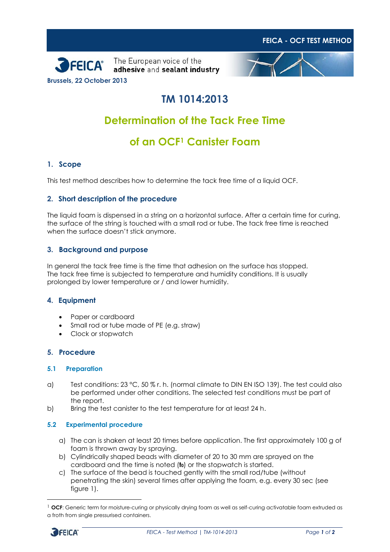





## **TM 1014:2013**

# **Determination of the Tack Free Time**

## **of an OCF<sup>1</sup> Canister Foam**

### **1. Scope**

This test method describes how to determine the tack free time of a liquid OCF.

#### **2. Short description of the procedure**

The liquid foam is dispensed in a string on a horizontal surface. After a certain time for curing, the surface of the string is touched with a small rod or tube. The tack free time is reached when the surface doesn't stick anymore.

### **3. Background and purpose**

In general the tack free time is the time that adhesion on the surface has stopped. The tack free time is subjected to temperature and humidity conditions. It is usually prolonged by lower temperature or / and lower humidity.

#### **4. Equipment**

- Paper or cardboard
- Small rod or tube made of PE (e.g. straw)
- Clock or stopwatch

#### **5. Procedure**

#### **5.1 Preparation**

- a) Test conditions:  $23 \text{ °C}$ ,  $50 \text{ %}$  r. h. (normal climate to DIN EN ISO 139). The test could also be performed under other conditions. The selected test conditions must be part of the report.
- b) Bring the test canister to the test temperature for at least 24 h.

#### **5.2 Experimental procedure**

- a) The can is shaken at least 20 times before application. The first approximately 100 g of foam is thrown away by spraying.
- b) Cylindrically shaped beads with diameter of 20 to 30 mm are sprayed on the cardboard and the time is noted (**t0**) or the stopwatch is started.
- c) The surface of the bead is touched gently with the small rod/tube (without penetrating the skin) several times after applying the foam, e.g. every 30 sec (see figure 1).

<sup>&</sup>lt;sup>1</sup> OCF: Generic term for moisture-curing or physically drying foam as well as self-curing activatable foam extruded as a froth from single pressurised containers.



 $\overline{a}$